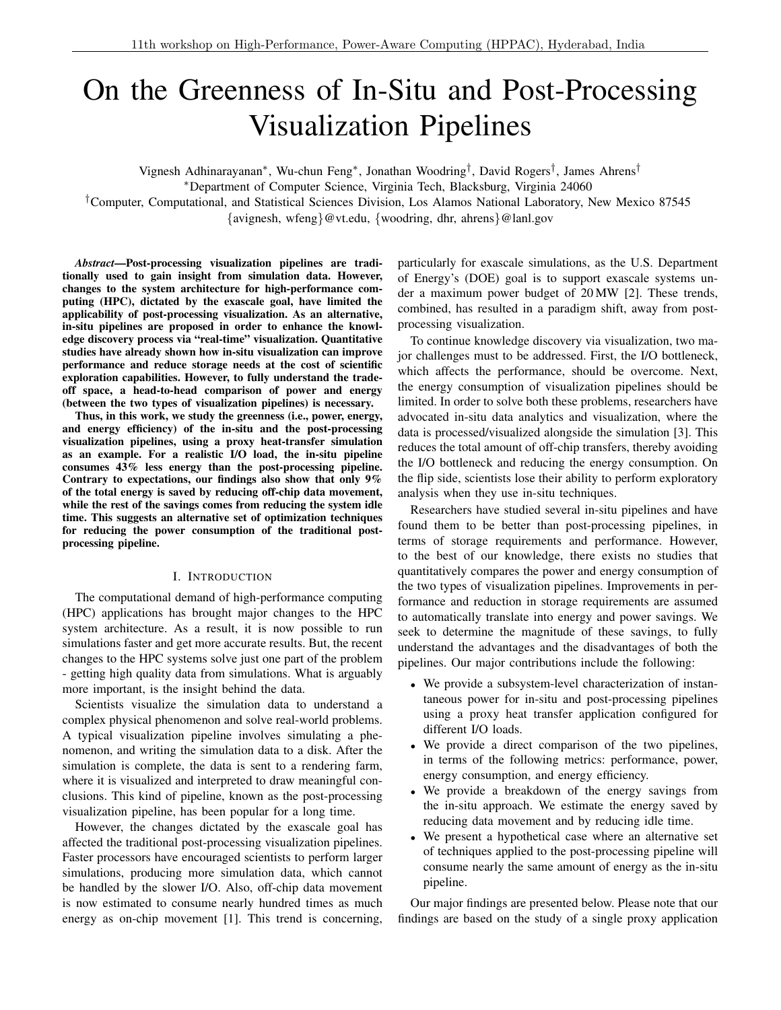# On the Greenness of In-Situ and Post-Processing Visualization Pipelines

Vignesh Adhinarayanan<sup>∗</sup> , Wu-chun Feng<sup>∗</sup> , Jonathan Woodring† , David Rogers† , James Ahrens† <sup>∗</sup>Department of Computer Science, Virginia Tech, Blacksburg, Virginia 24060

†Computer, Computational, and Statistical Sciences Division, Los Alamos National Laboratory, New Mexico 87545 {avignesh, wfeng}@vt.edu, {woodring, dhr, ahrens}@lanl.gov

*Abstract*—Post-processing visualization pipelines are traditionally used to gain insight from simulation data. However, changes to the system architecture for high-performance computing (HPC), dictated by the exascale goal, have limited the applicability of post-processing visualization. As an alternative, in-situ pipelines are proposed in order to enhance the knowledge discovery process via "real-time" visualization. Quantitative studies have already shown how in-situ visualization can improve performance and reduce storage needs at the cost of scientific exploration capabilities. However, to fully understand the tradeoff space, a head-to-head comparison of power and energy (between the two types of visualization pipelines) is necessary.

Thus, in this work, we study the greenness (i.e., power, energy, and energy efficiency) of the in-situ and the post-processing visualization pipelines, using a proxy heat-transfer simulation as an example. For a realistic I/O load, the in-situ pipeline consumes 43% less energy than the post-processing pipeline. Contrary to expectations, our findings also show that only 9% of the total energy is saved by reducing off-chip data movement, while the rest of the savings comes from reducing the system idle time. This suggests an alternative set of optimization techniques for reducing the power consumption of the traditional postprocessing pipeline.

# I. INTRODUCTION

The computational demand of high-performance computing (HPC) applications has brought major changes to the HPC system architecture. As a result, it is now possible to run simulations faster and get more accurate results. But, the recent changes to the HPC systems solve just one part of the problem - getting high quality data from simulations. What is arguably more important, is the insight behind the data.

Scientists visualize the simulation data to understand a complex physical phenomenon and solve real-world problems. A typical visualization pipeline involves simulating a phenomenon, and writing the simulation data to a disk. After the simulation is complete, the data is sent to a rendering farm, where it is visualized and interpreted to draw meaningful conclusions. This kind of pipeline, known as the post-processing visualization pipeline, has been popular for a long time.

However, the changes dictated by the exascale goal has affected the traditional post-processing visualization pipelines. Faster processors have encouraged scientists to perform larger simulations, producing more simulation data, which cannot be handled by the slower I/O. Also, off-chip data movement is now estimated to consume nearly hundred times as much energy as on-chip movement [1]. This trend is concerning,

particularly for exascale simulations, as the U.S. Department of Energy's (DOE) goal is to support exascale systems under a maximum power budget of 20 MW [2]. These trends, combined, has resulted in a paradigm shift, away from postprocessing visualization.

To continue knowledge discovery via visualization, two major challenges must to be addressed. First, the I/O bottleneck, which affects the performance, should be overcome. Next, the energy consumption of visualization pipelines should be limited. In order to solve both these problems, researchers have advocated in-situ data analytics and visualization, where the data is processed/visualized alongside the simulation [3]. This reduces the total amount of off-chip transfers, thereby avoiding the I/O bottleneck and reducing the energy consumption. On the flip side, scientists lose their ability to perform exploratory analysis when they use in-situ techniques.

Researchers have studied several in-situ pipelines and have found them to be better than post-processing pipelines, in terms of storage requirements and performance. However, to the best of our knowledge, there exists no studies that quantitatively compares the power and energy consumption of the two types of visualization pipelines. Improvements in performance and reduction in storage requirements are assumed to automatically translate into energy and power savings. We seek to determine the magnitude of these savings, to fully understand the advantages and the disadvantages of both the pipelines. Our major contributions include the following:

- We provide a subsystem-level characterization of instantaneous power for in-situ and post-processing pipelines using a proxy heat transfer application configured for different I/O loads.
- We provide a direct comparison of the two pipelines, in terms of the following metrics: performance, power, energy consumption, and energy efficiency.
- We provide a breakdown of the energy savings from the in-situ approach. We estimate the energy saved by reducing data movement and by reducing idle time.
- We present a hypothetical case where an alternative set of techniques applied to the post-processing pipeline will consume nearly the same amount of energy as the in-situ pipeline.

Our major findings are presented below. Please note that our findings are based on the study of a single proxy application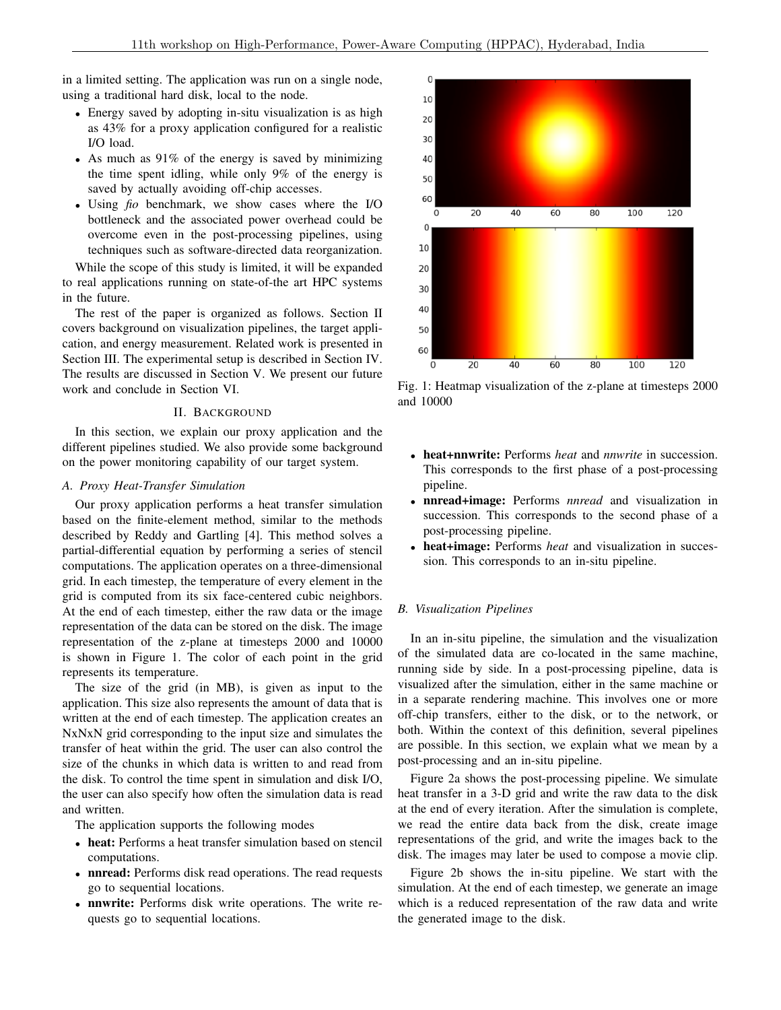in a limited setting. The application was run on a single node, using a traditional hard disk, local to the node.

- Energy saved by adopting in-situ visualization is as high as 43% for a proxy application configured for a realistic I/O load.
- As much as 91% of the energy is saved by minimizing the time spent idling, while only 9% of the energy is saved by actually avoiding off-chip accesses.
- Using *fio* benchmark, we show cases where the I/O bottleneck and the associated power overhead could be overcome even in the post-processing pipelines, using techniques such as software-directed data reorganization.

While the scope of this study is limited, it will be expanded to real applications running on state-of-the art HPC systems in the future.

The rest of the paper is organized as follows. Section II covers background on visualization pipelines, the target application, and energy measurement. Related work is presented in Section III. The experimental setup is described in Section IV. The results are discussed in Section V. We present our future work and conclude in Section VI.

## II. BACKGROUND

In this section, we explain our proxy application and the different pipelines studied. We also provide some background on the power monitoring capability of our target system.

## *A. Proxy Heat-Transfer Simulation*

Our proxy application performs a heat transfer simulation based on the finite-element method, similar to the methods described by Reddy and Gartling [4]. This method solves a partial-differential equation by performing a series of stencil computations. The application operates on a three-dimensional grid. In each timestep, the temperature of every element in the grid is computed from its six face-centered cubic neighbors. At the end of each timestep, either the raw data or the image representation of the data can be stored on the disk. The image representation of the z-plane at timesteps 2000 and 10000 is shown in Figure 1. The color of each point in the grid represents its temperature.

The size of the grid (in MB), is given as input to the application. This size also represents the amount of data that is written at the end of each timestep. The application creates an NxNxN grid corresponding to the input size and simulates the transfer of heat within the grid. The user can also control the size of the chunks in which data is written to and read from the disk. To control the time spent in simulation and disk I/O, the user can also specify how often the simulation data is read and written.

The application supports the following modes

- heat: Performs a heat transfer simulation based on stencil computations.
- nnread: Performs disk read operations. The read requests go to sequential locations.
- nnwrite: Performs disk write operations. The write requests go to sequential locations.



Fig. 1: Heatmap visualization of the z-plane at timesteps 2000 and 10000

- heat+nnwrite: Performs *heat* and *nnwrite* in succession. This corresponds to the first phase of a post-processing pipeline.
- nnread+image: Performs *nnread* and visualization in succession. This corresponds to the second phase of a post-processing pipeline.
- heat+image: Performs *heat* and visualization in succession. This corresponds to an in-situ pipeline.

## *B. Visualization Pipelines*

In an in-situ pipeline, the simulation and the visualization of the simulated data are co-located in the same machine, running side by side. In a post-processing pipeline, data is visualized after the simulation, either in the same machine or in a separate rendering machine. This involves one or more off-chip transfers, either to the disk, or to the network, or both. Within the context of this definition, several pipelines are possible. In this section, we explain what we mean by a post-processing and an in-situ pipeline.

Figure 2a shows the post-processing pipeline. We simulate heat transfer in a 3-D grid and write the raw data to the disk at the end of every iteration. After the simulation is complete, we read the entire data back from the disk, create image representations of the grid, and write the images back to the disk. The images may later be used to compose a movie clip.

Figure 2b shows the in-situ pipeline. We start with the simulation. At the end of each timestep, we generate an image which is a reduced representation of the raw data and write the generated image to the disk.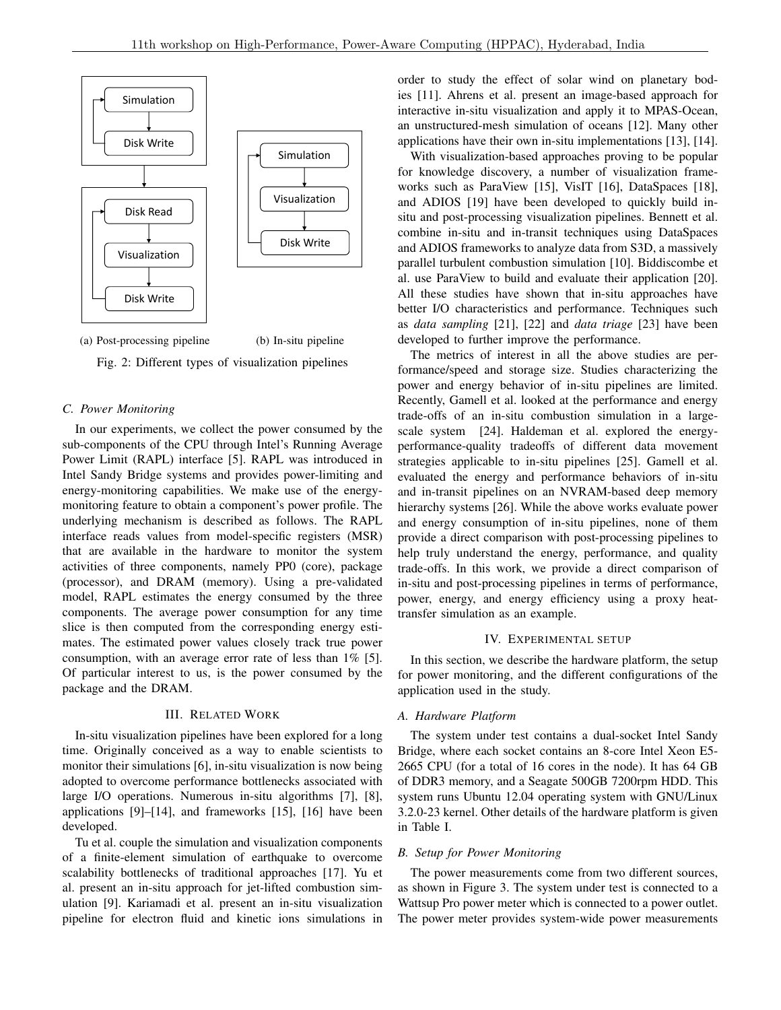

(b) In-situ pipeline

## Fig. 2: Different types of visualization pipelines

#### *C. Power Monitoring*

In our experiments, we collect the power consumed by the sub-components of the CPU through Intel's Running Average Power Limit (RAPL) interface [5]. RAPL was introduced in Intel Sandy Bridge systems and provides power-limiting and energy-monitoring capabilities. We make use of the energymonitoring feature to obtain a component's power profile. The underlying mechanism is described as follows. The RAPL interface reads values from model-specific registers (MSR) that are available in the hardware to monitor the system activities of three components, namely PP0 (core), package (processor), and DRAM (memory). Using a pre-validated model, RAPL estimates the energy consumed by the three components. The average power consumption for any time slice is then computed from the corresponding energy estimates. The estimated power values closely track true power consumption, with an average error rate of less than 1% [5]. Of particular interest to us, is the power consumed by the package and the DRAM.

# III. RELATED WORK

In-situ visualization pipelines have been explored for a long time. Originally conceived as a way to enable scientists to monitor their simulations [6], in-situ visualization is now being adopted to overcome performance bottlenecks associated with large I/O operations. Numerous in-situ algorithms [7], [8], applications [9]–[14], and frameworks [15], [16] have been developed.

Tu et al. couple the simulation and visualization components of a finite-element simulation of earthquake to overcome scalability bottlenecks of traditional approaches [17]. Yu et al. present an in-situ approach for jet-lifted combustion simulation [9]. Kariamadi et al. present an in-situ visualization pipeline for electron fluid and kinetic ions simulations in

order to study the effect of solar wind on planetary bodies [11]. Ahrens et al. present an image-based approach for interactive in-situ visualization and apply it to MPAS-Ocean, an unstructured-mesh simulation of oceans [12]. Many other applications have their own in-situ implementations [13], [14].

With visualization-based approaches proving to be popular for knowledge discovery, a number of visualization frameworks such as ParaView [15], VisIT [16], DataSpaces [18], and ADIOS [19] have been developed to quickly build insitu and post-processing visualization pipelines. Bennett et al. combine in-situ and in-transit techniques using DataSpaces and ADIOS frameworks to analyze data from S3D, a massively parallel turbulent combustion simulation [10]. Biddiscombe et al. use ParaView to build and evaluate their application [20]. All these studies have shown that in-situ approaches have better I/O characteristics and performance. Techniques such as *data sampling* [21], [22] and *data triage* [23] have been developed to further improve the performance.

The metrics of interest in all the above studies are performance/speed and storage size. Studies characterizing the power and energy behavior of in-situ pipelines are limited. Recently, Gamell et al. looked at the performance and energy trade-offs of an in-situ combustion simulation in a largescale system [24]. Haldeman et al. explored the energyperformance-quality tradeoffs of different data movement strategies applicable to in-situ pipelines [25]. Gamell et al. evaluated the energy and performance behaviors of in-situ and in-transit pipelines on an NVRAM-based deep memory hierarchy systems [26]. While the above works evaluate power and energy consumption of in-situ pipelines, none of them provide a direct comparison with post-processing pipelines to help truly understand the energy, performance, and quality trade-offs. In this work, we provide a direct comparison of in-situ and post-processing pipelines in terms of performance, power, energy, and energy efficiency using a proxy heattransfer simulation as an example.

## IV. EXPERIMENTAL SETUP

In this section, we describe the hardware platform, the setup for power monitoring, and the different configurations of the application used in the study.

#### *A. Hardware Platform*

The system under test contains a dual-socket Intel Sandy Bridge, where each socket contains an 8-core Intel Xeon E5- 2665 CPU (for a total of 16 cores in the node). It has 64 GB of DDR3 memory, and a Seagate 500GB 7200rpm HDD. This system runs Ubuntu 12.04 operating system with GNU/Linux 3.2.0-23 kernel. Other details of the hardware platform is given in Table I.

#### *B. Setup for Power Monitoring*

The power measurements come from two different sources, as shown in Figure 3. The system under test is connected to a Wattsup Pro power meter which is connected to a power outlet. The power meter provides system-wide power measurements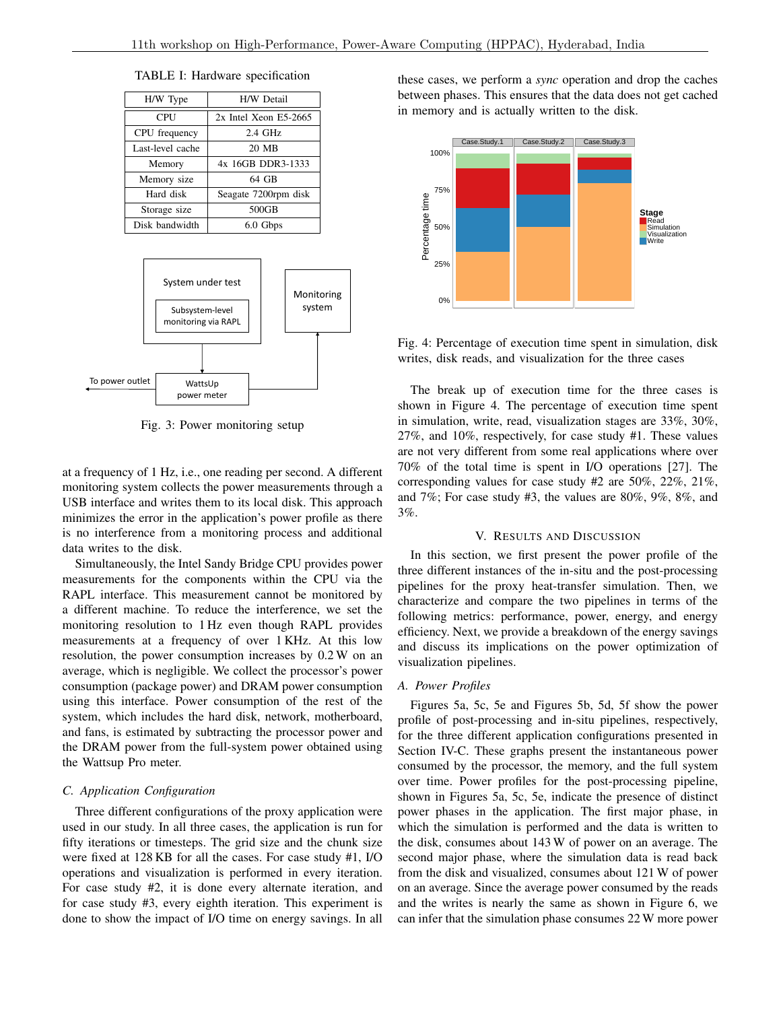TABLE I: Hardware specification

| H/W Type         | H/W Detail              |  |
|------------------|-------------------------|--|
| <b>CPU</b>       | $2x$ Intel Xeon E5-2665 |  |
| CPU frequency    | $2.4$ GHz               |  |
| Last-level cache | 20 MB                   |  |
| Memory           | 4x 16GB DDR3-1333       |  |
| Memory size      | 64 GB                   |  |
| Hard disk        | Seagate 7200rpm disk    |  |
| Storage size     | 500GB                   |  |
| Disk bandwidth   | 6.0 Gbps                |  |



Fig. 3: Power monitoring setup

at a frequency of 1 Hz, i.e., one reading per second. A different monitoring system collects the power measurements through a USB interface and writes them to its local disk. This approach minimizes the error in the application's power profile as there is no interference from a monitoring process and additional data writes to the disk.

Simultaneously, the Intel Sandy Bridge CPU provides power measurements for the components within the CPU via the RAPL interface. This measurement cannot be monitored by a different machine. To reduce the interference, we set the monitoring resolution to 1 Hz even though RAPL provides measurements at a frequency of over 1 KHz. At this low resolution, the power consumption increases by 0.2 W on an average, which is negligible. We collect the processor's power consumption (package power) and DRAM power consumption using this interface. Power consumption of the rest of the system, which includes the hard disk, network, motherboard, and fans, is estimated by subtracting the processor power and the DRAM power from the full-system power obtained using the Wattsup Pro meter.

## *C. Application Configuration*

Three different configurations of the proxy application were used in our study. In all three cases, the application is run for fifty iterations or timesteps. The grid size and the chunk size were fixed at 128 KB for all the cases. For case study #1, I/O operations and visualization is performed in every iteration. For case study #2, it is done every alternate iteration, and for case study #3, every eighth iteration. This experiment is done to show the impact of I/O time on energy savings. In all these cases, we perform a *sync* operation and drop the caches between phases. This ensures that the data does not get cached in memory and is actually written to the disk.



Fig. 4: Percentage of execution time spent in simulation, disk writes, disk reads, and visualization for the three cases

The break up of execution time for the three cases is shown in Figure 4. The percentage of execution time spent in simulation, write, read, visualization stages are 33%, 30%, 27%, and 10%, respectively, for case study #1. These values are not very different from some real applications where over 70% of the total time is spent in I/O operations [27]. The corresponding values for case study #2 are 50%, 22%, 21%, and 7%; For case study #3, the values are 80%, 9%, 8%, and 3%.

#### V. RESULTS AND DISCUSSION

In this section, we first present the power profile of the three different instances of the in-situ and the post-processing pipelines for the proxy heat-transfer simulation. Then, we characterize and compare the two pipelines in terms of the following metrics: performance, power, energy, and energy efficiency. Next, we provide a breakdown of the energy savings and discuss its implications on the power optimization of visualization pipelines.

## *A. Power Profiles*

Figures 5a, 5c, 5e and Figures 5b, 5d, 5f show the power profile of post-processing and in-situ pipelines, respectively, for the three different application configurations presented in Section IV-C. These graphs present the instantaneous power consumed by the processor, the memory, and the full system over time. Power profiles for the post-processing pipeline, shown in Figures 5a, 5c, 5e, indicate the presence of distinct power phases in the application. The first major phase, in which the simulation is performed and the data is written to the disk, consumes about 143 W of power on an average. The second major phase, where the simulation data is read back from the disk and visualized, consumes about 121 W of power on an average. Since the average power consumed by the reads and the writes is nearly the same as shown in Figure 6, we can infer that the simulation phase consumes 22 W more power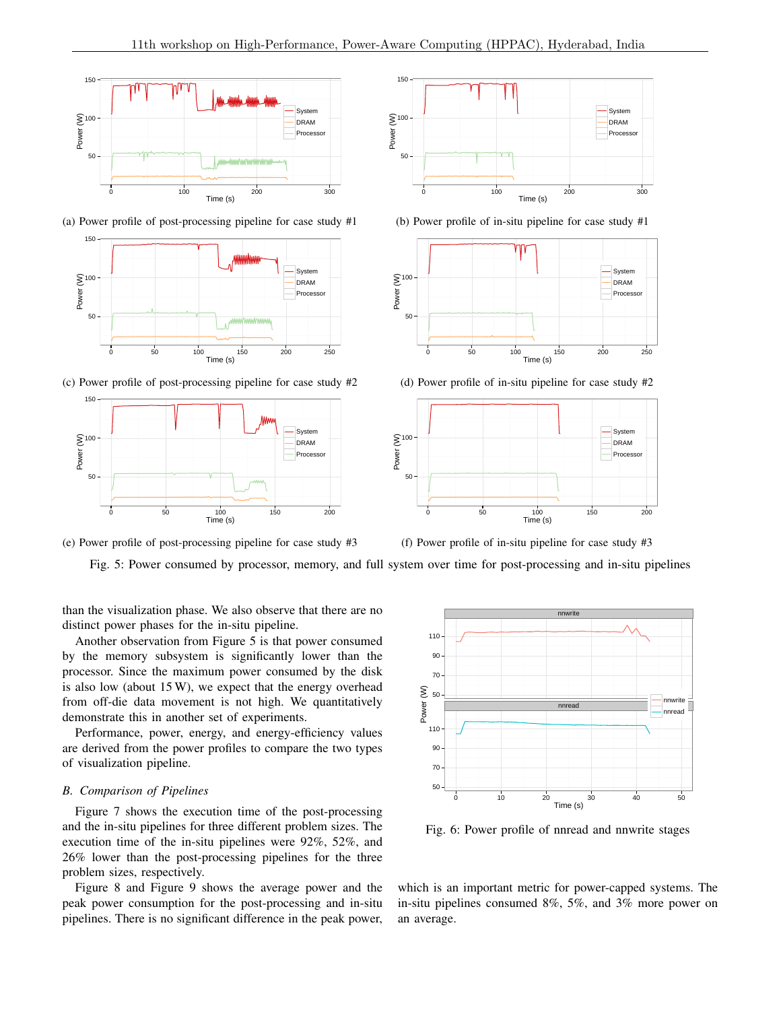

(a) Power profile of post-processing pipeline for case study #1



(c) Power profile of post-processing pipeline for case study #2



(e) Power profile of post-processing pipeline for case study #3



than the visualization phase. We also observe that there are no distinct power phases for the in-situ pipeline.

Another observation from Figure 5 is that power consumed by the memory subsystem is significantly lower than the processor. Since the maximum power consumed by the disk is also low (about 15 W), we expect that the energy overhead from off-die data movement is not high. We quantitatively demonstrate this in another set of experiments.

Performance, power, energy, and energy-efficiency values are derived from the power profiles to compare the two types of visualization pipeline.

#### *B. Comparison of Pipelines*

Figure 7 shows the execution time of the post-processing and the in-situ pipelines for three different problem sizes. The execution time of the in-situ pipelines were 92%, 52%, and 26% lower than the post-processing pipelines for the three problem sizes, respectively.

Figure 8 and Figure 9 shows the average power and the peak power consumption for the post-processing and in-situ pipelines. There is no significant difference in the peak power,



(b) Power profile of in-situ pipeline for case study #1



(d) Power profile of in-situ pipeline for case study #2



(f) Power profile of in-situ pipeline for case study #3



Fig. 6: Power profile of nnread and nnwrite stages

which is an important metric for power-capped systems. The in-situ pipelines consumed 8%, 5%, and 3% more power on an average.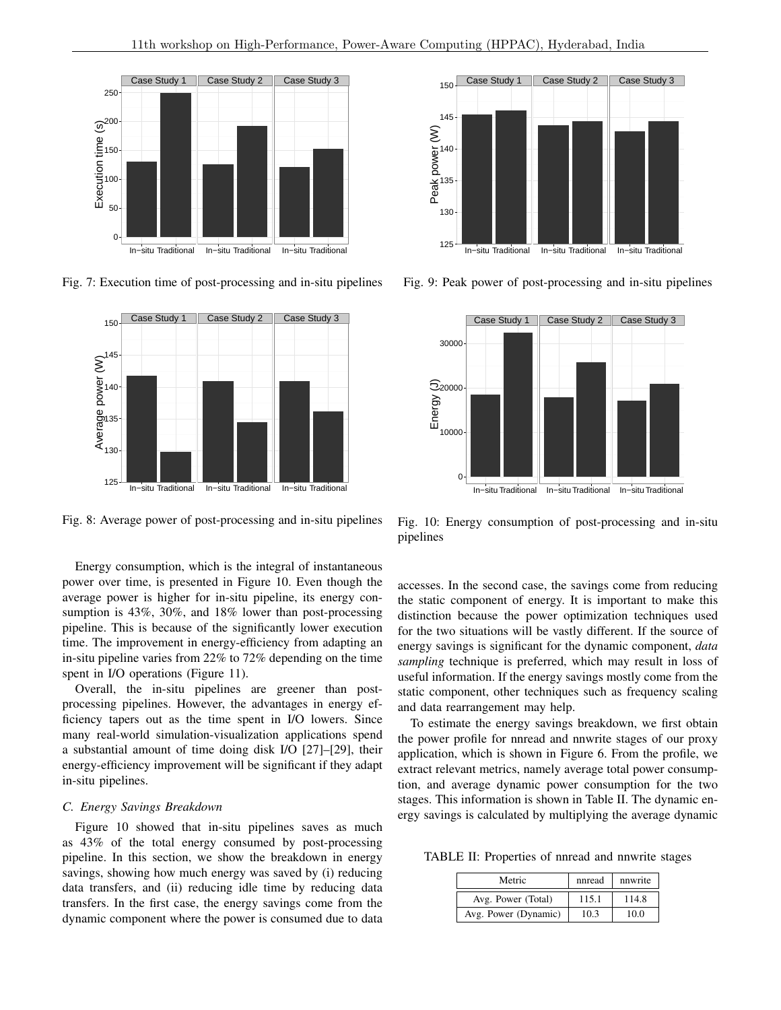

Fig. 7: Execution time of post-processing and in-situ pipelines



Fig. 8: Average power of post-processing and in-situ pipelines

Energy consumption, which is the integral of instantaneous power over time, is presented in Figure 10. Even though the average power is higher for in-situ pipeline, its energy consumption is 43%, 30%, and 18% lower than post-processing pipeline. This is because of the significantly lower execution time. The improvement in energy-efficiency from adapting an in-situ pipeline varies from 22% to 72% depending on the time spent in I/O operations (Figure 11).

Overall, the in-situ pipelines are greener than postprocessing pipelines. However, the advantages in energy efficiency tapers out as the time spent in I/O lowers. Since many real-world simulation-visualization applications spend a substantial amount of time doing disk I/O [27]–[29], their energy-efficiency improvement will be significant if they adapt in-situ pipelines.

#### *C. Energy Savings Breakdown*

Figure 10 showed that in-situ pipelines saves as much as 43% of the total energy consumed by post-processing pipeline. In this section, we show the breakdown in energy savings, showing how much energy was saved by (i) reducing data transfers, and (ii) reducing idle time by reducing data transfers. In the first case, the energy savings come from the dynamic component where the power is consumed due to data



Fig. 9: Peak power of post-processing and in-situ pipelines



Fig. 10: Energy consumption of post-processing and in-situ pipelines

accesses. In the second case, the savings come from reducing the static component of energy. It is important to make this distinction because the power optimization techniques used for the two situations will be vastly different. If the source of energy savings is significant for the dynamic component, *data sampling* technique is preferred, which may result in loss of useful information. If the energy savings mostly come from the static component, other techniques such as frequency scaling and data rearrangement may help.

To estimate the energy savings breakdown, we first obtain the power profile for nnread and nnwrite stages of our proxy application, which is shown in Figure 6. From the profile, we extract relevant metrics, namely average total power consumption, and average dynamic power consumption for the two stages. This information is shown in Table II. The dynamic energy savings is calculated by multiplying the average dynamic

TABLE II: Properties of nnread and nnwrite stages

| Metric               | nnread | nnwrite |  |
|----------------------|--------|---------|--|
| Avg. Power (Total)   | 115.1  | 114.8   |  |
| Avg. Power (Dynamic) | 10.3   | 10.0    |  |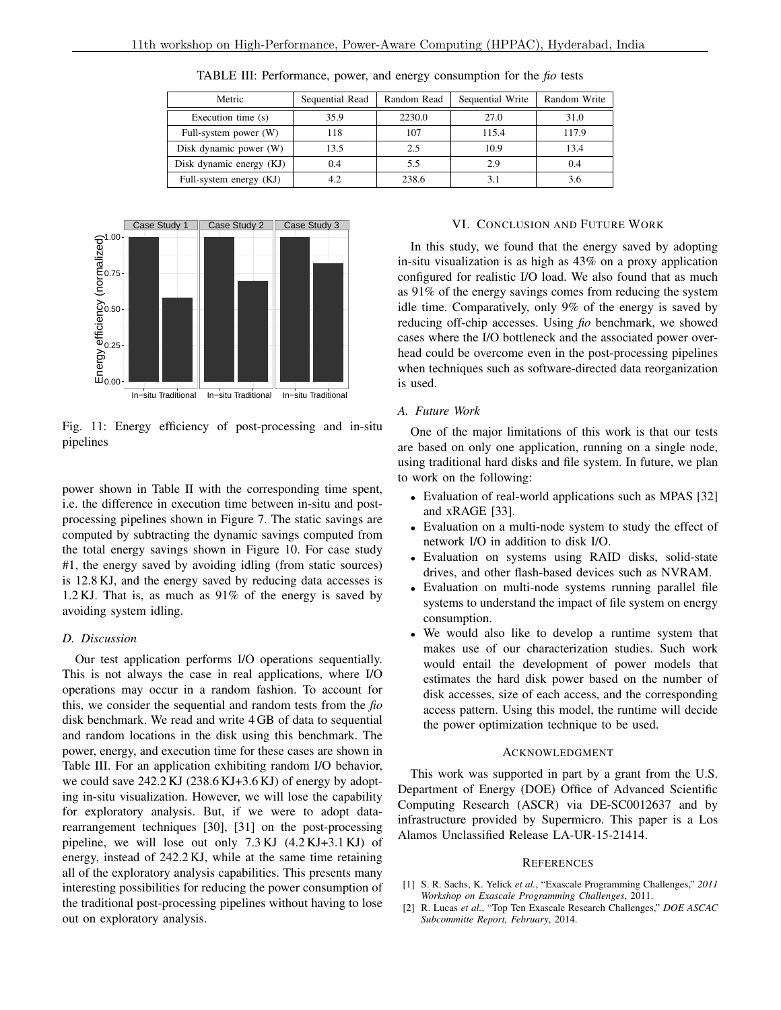| Metric                   | Sequential Read | Random Read | Sequential Write | Random Write |
|--------------------------|-----------------|-------------|------------------|--------------|
| Execution time (s)       | 35.9            | 2230.0      | 27.0             | 31.0         |
| Full-system power (W)    | 118             | 107         | 115.4            | 117.9        |
| Disk dynamic power (W)   | 13.5            | 2.5         | 10.9             | 13.4         |
| Disk dynamic energy (KJ) | 0.4             | 5.5         | 2.9              | 0.4          |
| Full-system energy (KJ)  |                 | 238.6       |                  |              |

TABLE III: Performance, power, and energy consumption for the *fio* tests



Fig. 11: Energy efficiency of post-processing and in-situ pipelines

power shown in Table II with the corresponding time spent, i.e. the difference in execution time between in-situ and postprocessing pipelines shown in Figure 7. The static savings are computed by subtracting the dynamic savings computed from the total energy savings shown in Figure 10. For case study #1, the energy saved by avoiding idling (from static sources) is 12.8 KJ, and the energy saved by reducing data accesses is 1.2 KJ. That is, as much as 91% of the energy is saved by avoiding system idling.

# *D. Discussion*

Our test application performs I/O operations sequentially. This is not always the case in real applications, where I/O operations may occur in a random fashion. To account for this, we consider the sequential and random tests from the *fio* disk benchmark. We read and write 4 GB of data to sequential and random locations in the disk using this benchmark. The power, energy, and execution time for these cases are shown in Table III. For an application exhibiting random I/O behavior, we could save 242.2 KJ (238.6 KJ+3.6 KJ) of energy by adopting in-situ visualization. However, we will lose the capability for exploratory analysis. But, if we were to adopt datarearrangement techniques [30], [31] on the post-processing pipeline, we will lose out only 7.3 KJ (4.2 KJ+3.1 KJ) of energy, instead of 242.2 KJ, while at the same time retaining all of the exploratory analysis capabilities. This presents many interesting possibilities for reducing the power consumption of the traditional post-processing pipelines without having to lose out on exploratory analysis.

# VI. CONCLUSION AND FUTURE WORK

In this study, we found that the energy saved by adopting in-situ visualization is as high as 43% on a proxy application configured for realistic I/O load. We also found that as much as 91% of the energy savings comes from reducing the system idle time. Comparatively, only 9% of the energy is saved by reducing off-chip accesses. Using *fio* benchmark, we showed cases where the I/O bottleneck and the associated power overhead could be overcome even in the post-processing pipelines when techniques such as software-directed data reorganization is used.

## *A. Future Work*

One of the major limitations of this work is that our tests are based on only one application, running on a single node, using traditional hard disks and file system. In future, we plan to work on the following:

- Evaluation of real-world applications such as MPAS [32] and xRAGE [33].
- Evaluation on a multi-node system to study the effect of network I/O in addition to disk I/O.
- Evaluation on systems using RAID disks, solid-state drives, and other flash-based devices such as NVRAM.
- Evaluation on multi-node systems running parallel file systems to understand the impact of file system on energy consumption.
- We would also like to develop a runtime system that makes use of our characterization studies. Such work would entail the development of power models that estimates the hard disk power based on the number of disk accesses, size of each access, and the corresponding access pattern. Using this model, the runtime will decide the power optimization technique to be used.

#### ACKNOWLEDGMENT

This work was supported in part by a grant from the U.S. Department of Energy (DOE) Office of Advanced Scientific Computing Research (ASCR) via DE-SC0012637 and by infrastructure provided by Supermicro. This paper is a Los Alamos Unclassified Release LA-UR-15-21414.

#### **REFERENCES**

- [1] S. R. Sachs, K. Yelick *et al.*, "Exascale Programming Challenges," *2011 Workshop on Exascale Programming Challenges*, 2011.
- [2] R. Lucas *et al.*, "Top Ten Exascale Research Challenges," *DOE ASCAC Subcommitte Report, February*, 2014.